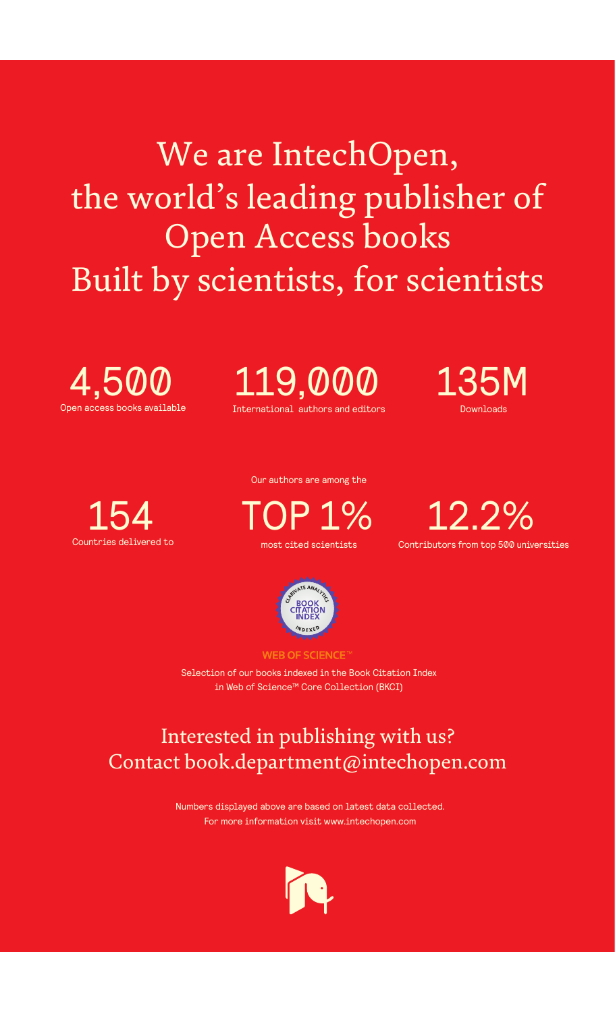We are IntechOpen, the world's leading publisher of Open Access books Built by scientists, for scientists



International authors and editors 119,000 135M





Our authors are among the

most cited scientists TOP 1%

Countries delivered to **Contributors** from top 500 universities contributors from top 500 universities 12.2%



**WEB OF SCIENCE** 

Selection of our books indexed in the Book Citation Index in Web of Science™ Core Collection (BKCI)

# Interested in publishing with us? Contact book.department@intechopen.com

Numbers displayed above are based on latest data collected. For more information visit www.intechopen.com

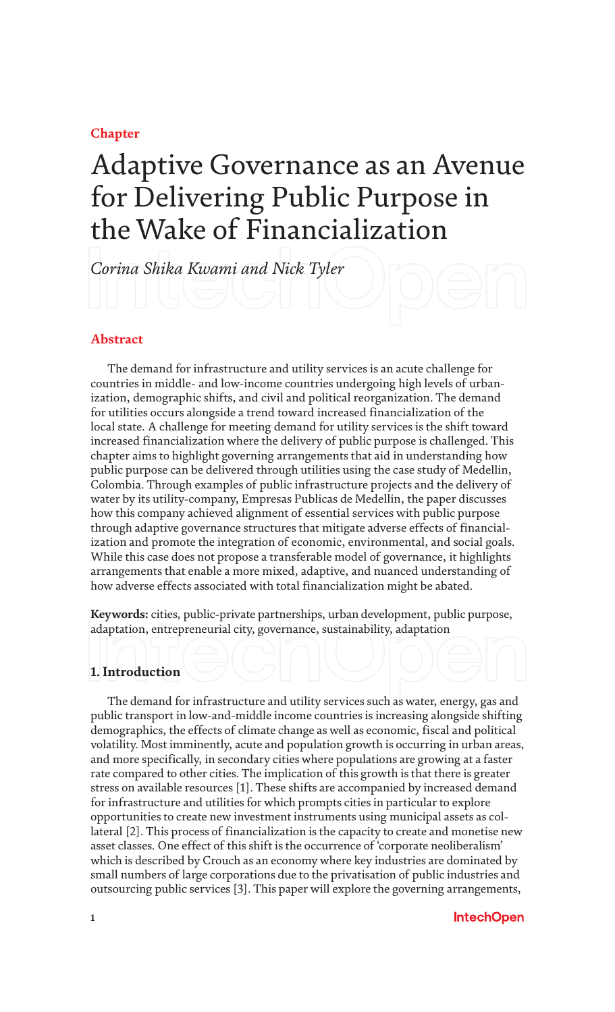**Chapter**

# Adaptive Governance as an Avenue for Delivering Public Purpose in the Wake of Financialization

*Corina Shika Kwami and Nick Tyler*

# **Abstract**

The demand for infrastructure and utility services is an acute challenge for countries in middle- and low-income countries undergoing high levels of urbanization, demographic shifts, and civil and political reorganization. The demand for utilities occurs alongside a trend toward increased financialization of the local state. A challenge for meeting demand for utility services is the shift toward increased financialization where the delivery of public purpose is challenged. This chapter aims to highlight governing arrangements that aid in understanding how public purpose can be delivered through utilities using the case study of Medellin, Colombia. Through examples of public infrastructure projects and the delivery of water by its utility-company, Empresas Publicas de Medellin, the paper discusses how this company achieved alignment of essential services with public purpose through adaptive governance structures that mitigate adverse effects of financialization and promote the integration of economic, environmental, and social goals. While this case does not propose a transferable model of governance, it highlights arrangements that enable a more mixed, adaptive, and nuanced understanding of how adverse effects associated with total financialization might be abated.

**Keywords:** cities, public-private partnerships, urban development, public purpose, adaptation, entrepreneurial city, governance, sustainability, adaptation

# **1. Introduction**

The demand for infrastructure and utility services such as water, energy, gas and public transport in low-and-middle income countries is increasing alongside shifting demographics, the effects of climate change as well as economic, fiscal and political volatility. Most imminently, acute and population growth is occurring in urban areas, and more specifically, in secondary cities where populations are growing at a faster rate compared to other cities. The implication of this growth is that there is greater stress on available resources [1]. These shifts are accompanied by increased demand for infrastructure and utilities for which prompts cities in particular to explore opportunities to create new investment instruments using municipal assets as collateral [2]. This process of financialization is the capacity to create and monetise new asset classes. One effect of this shift is the occurrence of 'corporate neoliberalism' which is described by Crouch as an economy where key industries are dominated by small numbers of large corporations due to the privatisation of public industries and outsourcing public services [3]. This paper will explore the governing arrangements,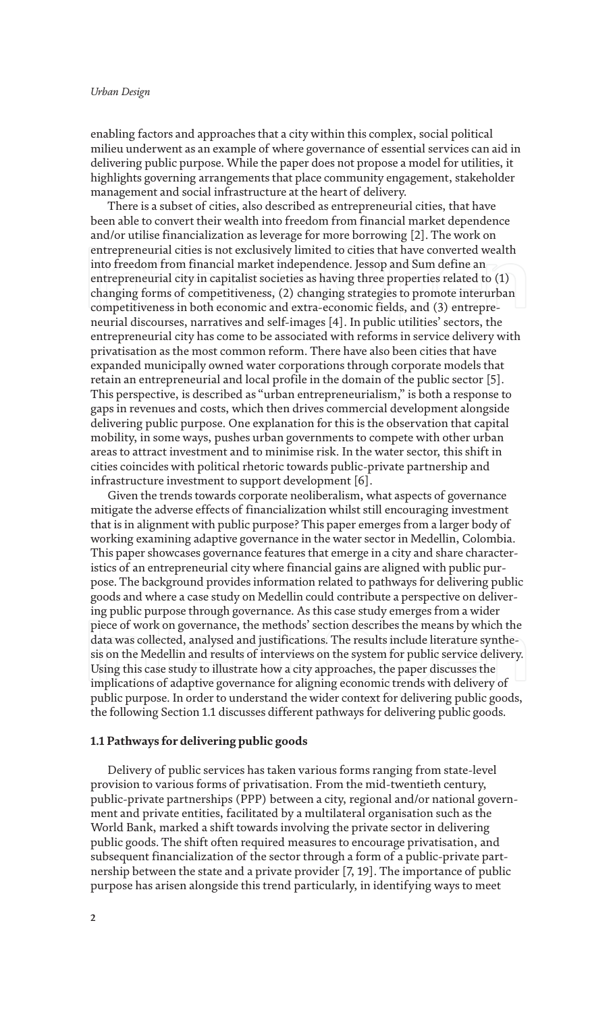enabling factors and approaches that a city within this complex, social political milieu underwent as an example of where governance of essential services can aid in delivering public purpose. While the paper does not propose a model for utilities, it highlights governing arrangements that place community engagement, stakeholder management and social infrastructure at the heart of delivery.

There is a subset of cities, also described as entrepreneurial cities, that have been able to convert their wealth into freedom from financial market dependence and/or utilise financialization as leverage for more borrowing [2]. The work on entrepreneurial cities is not exclusively limited to cities that have converted wealth into freedom from financial market independence. Jessop and Sum define an entrepreneurial city in capitalist societies as having three properties related to (1) changing forms of competitiveness, (2) changing strategies to promote interurban competitiveness in both economic and extra-economic fields, and (3) entrepreneurial discourses, narratives and self-images [4]. In public utilities' sectors, the entrepreneurial city has come to be associated with reforms in service delivery with privatisation as the most common reform. There have also been cities that have expanded municipally owned water corporations through corporate models that retain an entrepreneurial and local profile in the domain of the public sector [5]. This perspective, is described as "urban entrepreneurialism," is both a response to gaps in revenues and costs, which then drives commercial development alongside delivering public purpose. One explanation for this is the observation that capital mobility, in some ways, pushes urban governments to compete with other urban areas to attract investment and to minimise risk. In the water sector, this shift in cities coincides with political rhetoric towards public-private partnership and infrastructure investment to support development [6].

Given the trends towards corporate neoliberalism, what aspects of governance mitigate the adverse effects of financialization whilst still encouraging investment that is in alignment with public purpose? This paper emerges from a larger body of working examining adaptive governance in the water sector in Medellin, Colombia. This paper showcases governance features that emerge in a city and share characteristics of an entrepreneurial city where financial gains are aligned with public purpose. The background provides information related to pathways for delivering public goods and where a case study on Medellin could contribute a perspective on delivering public purpose through governance. As this case study emerges from a wider piece of work on governance, the methods' section describes the means by which the data was collected, analysed and justifications. The results include literature synthesis on the Medellin and results of interviews on the system for public service delivery. Using this case study to illustrate how a city approaches, the paper discusses the implications of adaptive governance for aligning economic trends with delivery of public purpose. In order to understand the wider context for delivering public goods, the following Section 1.1 discusses different pathways for delivering public goods.

## **1.1 Pathways for delivering public goods**

Delivery of public services has taken various forms ranging from state-level provision to various forms of privatisation. From the mid-twentieth century, public-private partnerships (PPP) between a city, regional and/or national government and private entities, facilitated by a multilateral organisation such as the World Bank, marked a shift towards involving the private sector in delivering public goods. The shift often required measures to encourage privatisation, and subsequent financialization of the sector through a form of a public-private partnership between the state and a private provider [7, 19]. The importance of public purpose has arisen alongside this trend particularly, in identifying ways to meet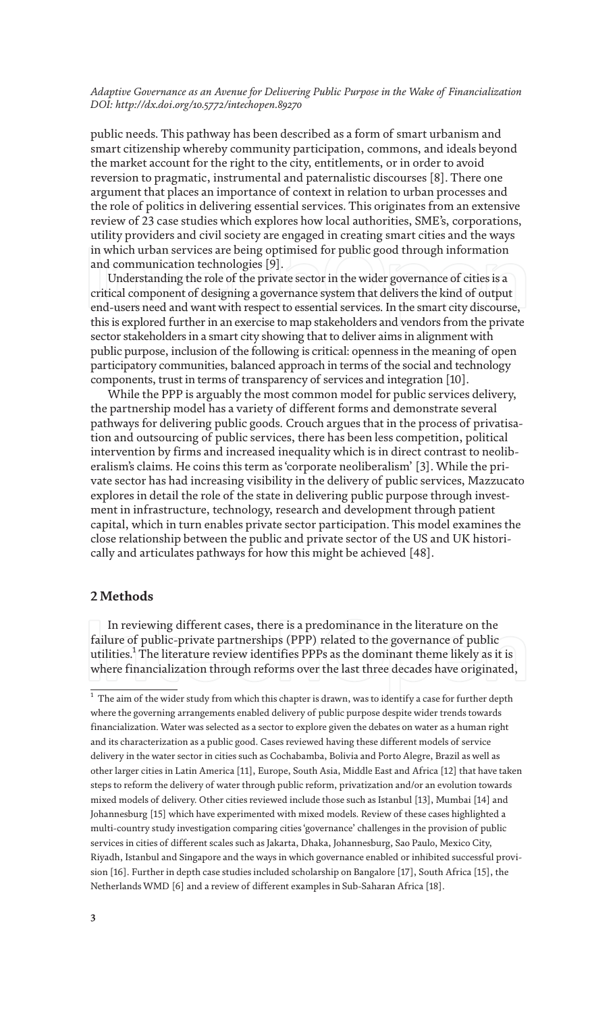public needs. This pathway has been described as a form of smart urbanism and smart citizenship whereby community participation, commons, and ideals beyond the market account for the right to the city, entitlements, or in order to avoid reversion to pragmatic, instrumental and paternalistic discourses [8]. There one argument that places an importance of context in relation to urban processes and the role of politics in delivering essential services. This originates from an extensive review of 23 case studies which explores how local authorities, SME's, corporations, utility providers and civil society are engaged in creating smart cities and the ways in which urban services are being optimised for public good through information and communication technologies [9].

Understanding the role of the private sector in the wider governance of cities is a critical component of designing a governance system that delivers the kind of output end-users need and want with respect to essential services. In the smart city discourse, this is explored further in an exercise to map stakeholders and vendors from the private sector stakeholders in a smart city showing that to deliver aims in alignment with public purpose, inclusion of the following is critical: openness in the meaning of open participatory communities, balanced approach in terms of the social and technology components, trust in terms of transparency of services and integration [10].

While the PPP is arguably the most common model for public services delivery, the partnership model has a variety of different forms and demonstrate several pathways for delivering public goods. Crouch argues that in the process of privatisation and outsourcing of public services, there has been less competition, political intervention by firms and increased inequality which is in direct contrast to neoliberalism's claims. He coins this term as 'corporate neoliberalism' [3]. While the private sector has had increasing visibility in the delivery of public services, Mazzucato explores in detail the role of the state in delivering public purpose through investment in infrastructure, technology, research and development through patient capital, which in turn enables private sector participation. This model examines the close relationship between the public and private sector of the US and UK historically and articulates pathways for how this might be achieved [48].

# **2 Methods**

In reviewing different cases, there is a predominance in the literature on the failure of public-private partnerships (PPP) related to the governance of public utilities. $^{\rm 1}$  The literature review identifies PPPs as the dominant theme likely as it is where financialization through reforms over the last three decades have originated,

 $^{\rm 1}$  The aim of the wider study from which this chapter is drawn, was to identify a case for further depth where the governing arrangements enabled delivery of public purpose despite wider trends towards financialization. Water was selected as a sector to explore given the debates on water as a human right and its characterization as a public good. Cases reviewed having these different models of service delivery in the water sector in cities such as Cochabamba, Bolivia and Porto Alegre, Brazil as well as other larger cities in Latin America [11], Europe, South Asia, Middle East and Africa [12] that have taken steps to reform the delivery of water through public reform, privatization and/or an evolution towards mixed models of delivery. Other cities reviewed include those such as Istanbul [13], Mumbai [14] and Johannesburg [15] which have experimented with mixed models. Review of these cases highlighted a multi-country study investigation comparing cities 'governance' challenges in the provision of public services in cities of different scales such as Jakarta, Dhaka, Johannesburg, Sao Paulo, Mexico City, Riyadh, Istanbul and Singapore and the ways in which governance enabled or inhibited successful provision [16]. Further in depth case studies included scholarship on Bangalore [17], South Africa [15], the Netherlands WMD [6] and a review of different examples in Sub-Saharan Africa [18].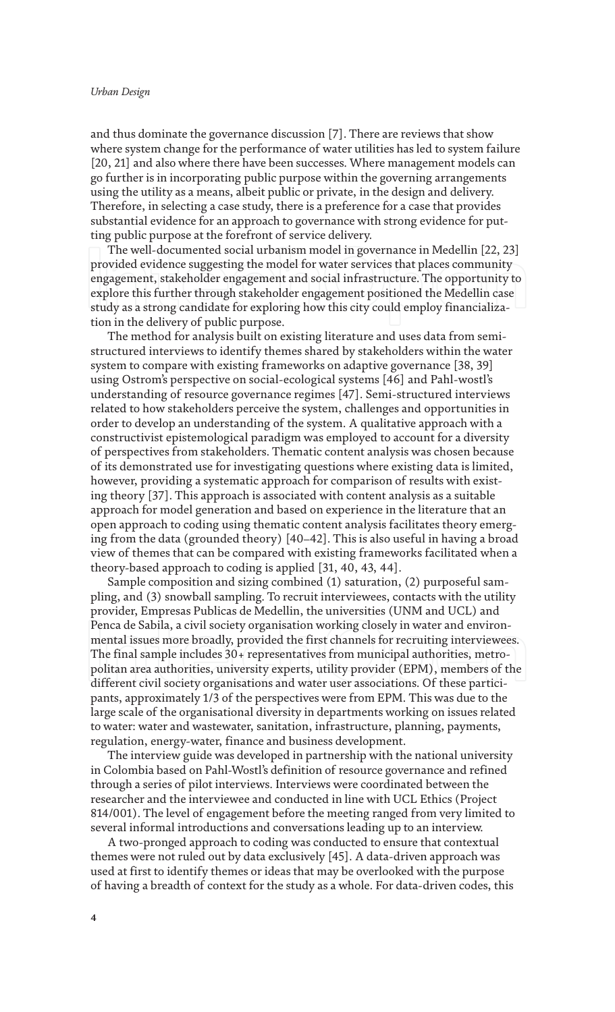and thus dominate the governance discussion [7]. There are reviews that show where system change for the performance of water utilities has led to system failure [20, 21] and also where there have been successes. Where management models can go further is in incorporating public purpose within the governing arrangements using the utility as a means, albeit public or private, in the design and delivery. Therefore, in selecting a case study, there is a preference for a case that provides substantial evidence for an approach to governance with strong evidence for putting public purpose at the forefront of service delivery.

The well-documented social urbanism model in governance in Medellin [22, 23] provided evidence suggesting the model for water services that places community engagement, stakeholder engagement and social infrastructure. The opportunity to explore this further through stakeholder engagement positioned the Medellin case study as a strong candidate for exploring how this city could employ financialization in the delivery of public purpose.

The method for analysis built on existing literature and uses data from semistructured interviews to identify themes shared by stakeholders within the water system to compare with existing frameworks on adaptive governance [38, 39] using Ostrom's perspective on social-ecological systems [46] and Pahl-wostl's understanding of resource governance regimes [47]. Semi-structured interviews related to how stakeholders perceive the system, challenges and opportunities in order to develop an understanding of the system. A qualitative approach with a constructivist epistemological paradigm was employed to account for a diversity of perspectives from stakeholders. Thematic content analysis was chosen because of its demonstrated use for investigating questions where existing data is limited, however, providing a systematic approach for comparison of results with existing theory [37]. This approach is associated with content analysis as a suitable approach for model generation and based on experience in the literature that an open approach to coding using thematic content analysis facilitates theory emerging from the data (grounded theory) [40–42]. This is also useful in having a broad view of themes that can be compared with existing frameworks facilitated when a theory-based approach to coding is applied [31, 40, 43, 44].

Sample composition and sizing combined (1) saturation, (2) purposeful sampling, and (3) snowball sampling. To recruit interviewees, contacts with the utility provider, Empresas Publicas de Medellin, the universities (UNM and UCL) and Penca de Sabila, a civil society organisation working closely in water and environmental issues more broadly, provided the first channels for recruiting interviewees. The final sample includes 30+ representatives from municipal authorities, metropolitan area authorities, university experts, utility provider (EPM), members of the different civil society organisations and water user associations. Of these participants, approximately 1/3 of the perspectives were from EPM. This was due to the large scale of the organisational diversity in departments working on issues related to water: water and wastewater, sanitation, infrastructure, planning, payments, regulation, energy-water, finance and business development.

The interview guide was developed in partnership with the national university in Colombia based on Pahl-Wostl's definition of resource governance and refined through a series of pilot interviews. Interviews were coordinated between the researcher and the interviewee and conducted in line with UCL Ethics (Project 814/001). The level of engagement before the meeting ranged from very limited to several informal introductions and conversations leading up to an interview.

A two-pronged approach to coding was conducted to ensure that contextual themes were not ruled out by data exclusively [45]. A data-driven approach was used at first to identify themes or ideas that may be overlooked with the purpose of having a breadth of context for the study as a whole. For data-driven codes, this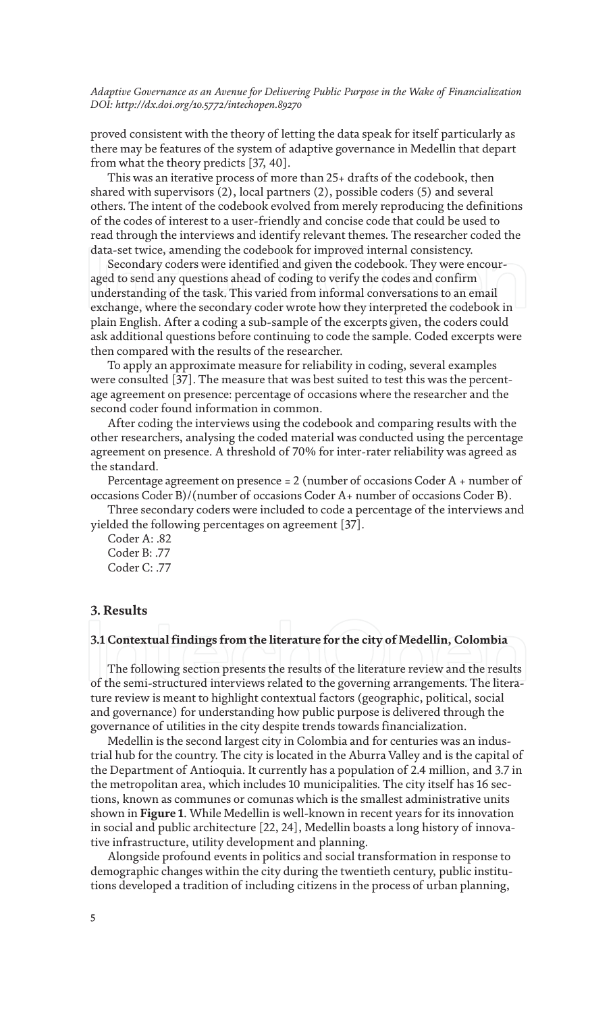proved consistent with the theory of letting the data speak for itself particularly as there may be features of the system of adaptive governance in Medellin that depart from what the theory predicts [37, 40].

This was an iterative process of more than 25+ drafts of the codebook, then shared with supervisors (2), local partners (2), possible coders (5) and several others. The intent of the codebook evolved from merely reproducing the definitions of the codes of interest to a user-friendly and concise code that could be used to read through the interviews and identify relevant themes. The researcher coded the data-set twice, amending the codebook for improved internal consistency.

Secondary coders were identified and given the codebook. They were encouraged to send any questions ahead of coding to verify the codes and confirm understanding of the task. This varied from informal conversations to an email exchange, where the secondary coder wrote how they interpreted the codebook in plain English. After a coding a sub-sample of the excerpts given, the coders could ask additional questions before continuing to code the sample. Coded excerpts were then compared with the results of the researcher.

To apply an approximate measure for reliability in coding, several examples were consulted [37]. The measure that was best suited to test this was the percentage agreement on presence: percentage of occasions where the researcher and the second coder found information in common.

After coding the interviews using the codebook and comparing results with the other researchers, analysing the coded material was conducted using the percentage agreement on presence. A threshold of 70% for inter-rater reliability was agreed as the standard.

Percentage agreement on presence = 2 (number of occasions Coder A + number of occasions Coder B)/(number of occasions Coder A+ number of occasions Coder B).

Three secondary coders were included to code a percentage of the interviews and yielded the following percentages on agreement [37].

Coder A: .82 Coder B: .77 Coder C: .77

# **3. Results**

# **3.1 Contextual findings from the literature for the city of Medellin, Colombia**

The following section presents the results of the literature review and the results of the semi-structured interviews related to the governing arrangements. The literature review is meant to highlight contextual factors (geographic, political, social and governance) for understanding how public purpose is delivered through the governance of utilities in the city despite trends towards financialization.

Medellin is the second largest city in Colombia and for centuries was an industrial hub for the country. The city is located in the Aburra Valley and is the capital of the Department of Antioquia. It currently has a population of 2.4 million, and 3.7 in the metropolitan area, which includes 10 municipalities. The city itself has 16 sections, known as communes or comunas which is the smallest administrative units shown in **Figure 1**. While Medellin is well-known in recent years for its innovation in social and public architecture [22, 24], Medellin boasts a long history of innovative infrastructure, utility development and planning.

Alongside profound events in politics and social transformation in response to demographic changes within the city during the twentieth century, public institutions developed a tradition of including citizens in the process of urban planning,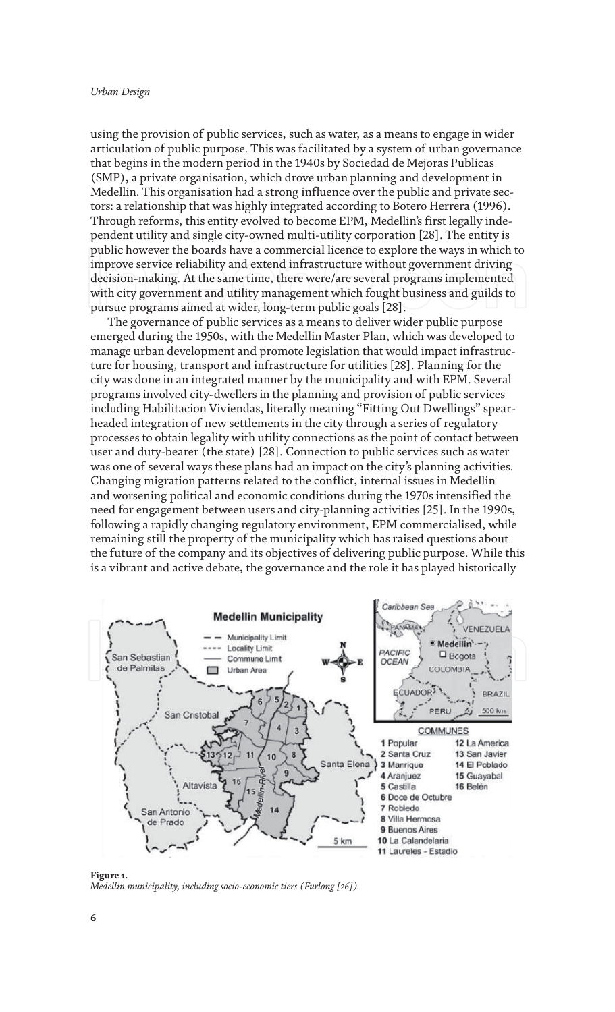using the provision of public services, such as water, as a means to engage in wider articulation of public purpose. This was facilitated by a system of urban governance that begins in the modern period in the 1940s by Sociedad de Mejoras Publicas (SMP), a private organisation, which drove urban planning and development in Medellin. This organisation had a strong influence over the public and private sectors: a relationship that was highly integrated according to Botero Herrera (1996). Through reforms, this entity evolved to become EPM, Medellin's first legally independent utility and single city-owned multi-utility corporation [28]. The entity is public however the boards have a commercial licence to explore the ways in which to improve service reliability and extend infrastructure without government driving decision-making. At the same time, there were/are several programs implemented with city government and utility management which fought business and guilds to pursue programs aimed at wider, long-term public goals [28].

The governance of public services as a means to deliver wider public purpose emerged during the 1950s, with the Medellin Master Plan, which was developed to manage urban development and promote legislation that would impact infrastructure for housing, transport and infrastructure for utilities [28]. Planning for the city was done in an integrated manner by the municipality and with EPM. Several programs involved city-dwellers in the planning and provision of public services including Habilitacion Viviendas, literally meaning "Fitting Out Dwellings" spearheaded integration of new settlements in the city through a series of regulatory processes to obtain legality with utility connections as the point of contact between user and duty-bearer (the state) [28]. Connection to public services such as water was one of several ways these plans had an impact on the city's planning activities. Changing migration patterns related to the conflict, internal issues in Medellin and worsening political and economic conditions during the 1970s intensified the need for engagement between users and city-planning activities [25]. In the 1990s, following a rapidly changing regulatory environment, EPM commercialised, while remaining still the property of the municipality which has raised questions about the future of the company and its objectives of delivering public purpose. While this is a vibrant and active debate, the governance and the role it has played historically



**Figure 1.** *Medellin municipality, including socio-economic tiers (Furlong [26]).*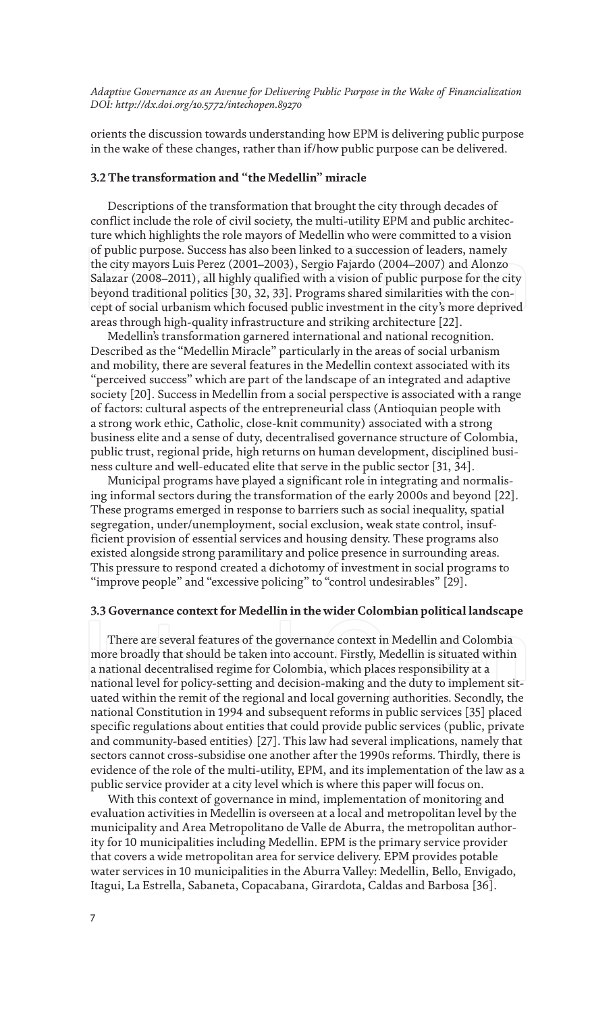orients the discussion towards understanding how EPM is delivering public purpose in the wake of these changes, rather than if/how public purpose can be delivered.

# **3.2 The transformation and "the Medellin" miracle**

Descriptions of the transformation that brought the city through decades of conflict include the role of civil society, the multi-utility EPM and public architecture which highlights the role mayors of Medellin who were committed to a vision of public purpose. Success has also been linked to a succession of leaders, namely the city mayors Luis Perez (2001–2003), Sergio Fajardo (2004–2007) and Alonzo Salazar (2008–2011), all highly qualified with a vision of public purpose for the city beyond traditional politics [30, 32, 33]. Programs shared similarities with the concept of social urbanism which focused public investment in the city's more deprived areas through high-quality infrastructure and striking architecture [22].

Medellin's transformation garnered international and national recognition. Described as the "Medellin Miracle" particularly in the areas of social urbanism and mobility, there are several features in the Medellin context associated with its "perceived success" which are part of the landscape of an integrated and adaptive society [20]. Success in Medellin from a social perspective is associated with a range of factors: cultural aspects of the entrepreneurial class (Antioquian people with a strong work ethic, Catholic, close-knit community) associated with a strong business elite and a sense of duty, decentralised governance structure of Colombia, public trust, regional pride, high returns on human development, disciplined business culture and well-educated elite that serve in the public sector [31, 34].

Municipal programs have played a significant role in integrating and normalising informal sectors during the transformation of the early 2000s and beyond [22]. These programs emerged in response to barriers such as social inequality, spatial segregation, under/unemployment, social exclusion, weak state control, insufficient provision of essential services and housing density. These programs also existed alongside strong paramilitary and police presence in surrounding areas. This pressure to respond created a dichotomy of investment in social programs to "improve people" and "excessive policing" to "control undesirables" [29].

# **3.3 Governance context for Medellin in the wider Colombian political landscape**

There are several features of the governance context in Medellin and Colombia more broadly that should be taken into account. Firstly, Medellin is situated within a national decentralised regime for Colombia, which places responsibility at a national level for policy-setting and decision-making and the duty to implement situated within the remit of the regional and local governing authorities. Secondly, the national Constitution in 1994 and subsequent reforms in public services [35] placed specific regulations about entities that could provide public services (public, private and community-based entities) [27]. This law had several implications, namely that sectors cannot cross-subsidise one another after the 1990s reforms. Thirdly, there is evidence of the role of the multi-utility, EPM, and its implementation of the law as a public service provider at a city level which is where this paper will focus on.

With this context of governance in mind, implementation of monitoring and evaluation activities in Medellin is overseen at a local and metropolitan level by the municipality and Area Metropolitano de Valle de Aburra, the metropolitan authority for 10 municipalities including Medellin. EPM is the primary service provider that covers a wide metropolitan area for service delivery. EPM provides potable water services in 10 municipalities in the Aburra Valley: Medellin, Bello, Envigado, Itagui, La Estrella, Sabaneta, Copacabana, Girardota, Caldas and Barbosa [36].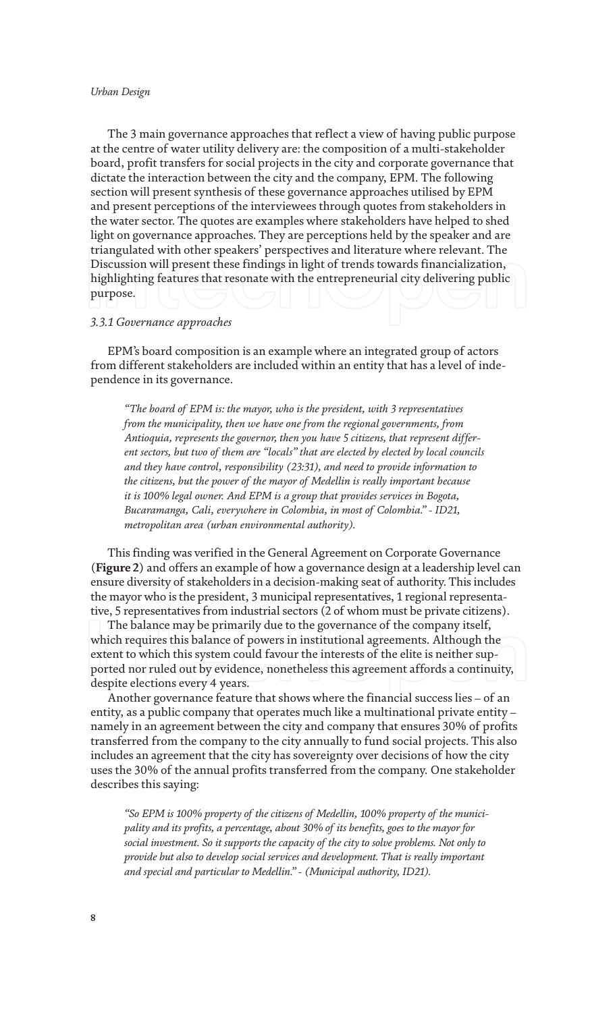The 3 main governance approaches that reflect a view of having public purpose at the centre of water utility delivery are: the composition of a multi-stakeholder board, profit transfers for social projects in the city and corporate governance that dictate the interaction between the city and the company, EPM. The following section will present synthesis of these governance approaches utilised by EPM and present perceptions of the interviewees through quotes from stakeholders in the water sector. The quotes are examples where stakeholders have helped to shed light on governance approaches. They are perceptions held by the speaker and are triangulated with other speakers' perspectives and literature where relevant. The Discussion will present these findings in light of trends towards financialization, highlighting features that resonate with the entrepreneurial city delivering public purpose.

### *3.3.1 Governance approaches*

EPM's board composition is an example where an integrated group of actors from different stakeholders are included within an entity that has a level of independence in its governance.

*"The board of EPM is: the mayor, who is the president, with 3 representatives from the municipality, then we have one from the regional governments, from Antioquia, represents the governor, then you have 5 citizens, that represent different sectors, but two of them are "locals" that are elected by elected by local councils and they have control, responsibility (23:31), and need to provide information to the citizens, but the power of the mayor of Medellin is really important because it is 100% legal owner. And EPM is a group that provides services in Bogota, Bucaramanga, Cali, everywhere in Colombia, in most of Colombia." - ID21, metropolitan area (urban environmental authority).*

This finding was verified in the General Agreement on Corporate Governance (**Figure 2**) and offers an example of how a governance design at a leadership level can ensure diversity of stakeholders in a decision-making seat of authority. This includes the mayor who is the president, 3 municipal representatives, 1 regional representative, 5 representatives from industrial sectors (2 of whom must be private citizens).

The balance may be primarily due to the governance of the company itself, which requires this balance of powers in institutional agreements. Although the extent to which this system could favour the interests of the elite is neither supported nor ruled out by evidence, nonetheless this agreement affords a continuity, despite elections every 4 years.

Another governance feature that shows where the financial success lies – of an entity, as a public company that operates much like a multinational private entity – namely in an agreement between the city and company that ensures 30% of profits transferred from the company to the city annually to fund social projects. This also includes an agreement that the city has sovereignty over decisions of how the city uses the 30% of the annual profits transferred from the company. One stakeholder describes this saying:

*"So EPM is 100% property of the citizens of Medellin, 100% property of the municipality and its profits, a percentage, about 30% of its benefits, goes to the mayor for social investment. So it supports the capacity of the city to solve problems. Not only to provide but also to develop social services and development. That is really important and special and particular to Medellin." - (Municipal authority, ID21).*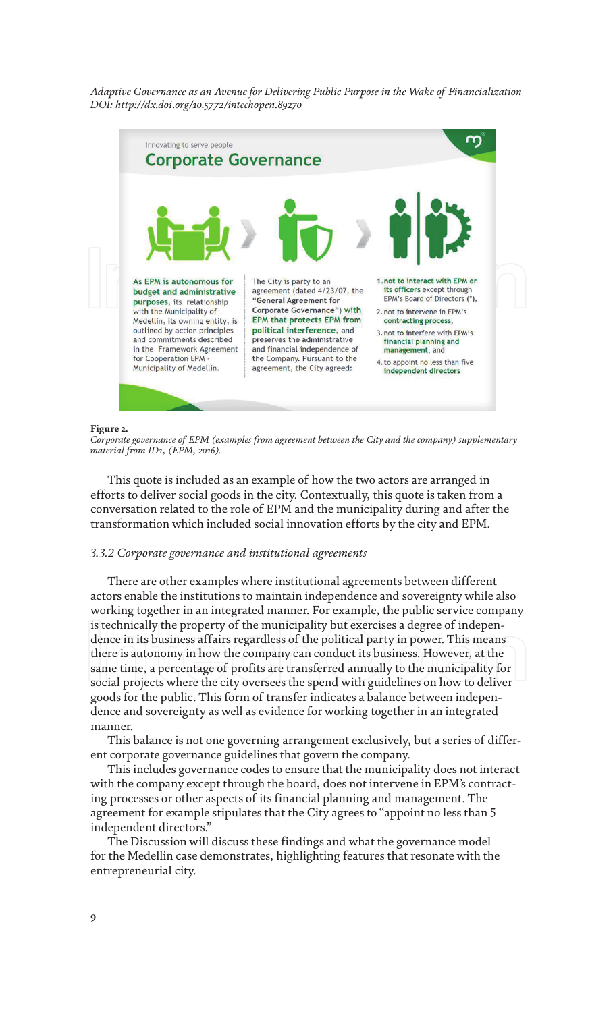

#### **Figure 2.**

*Corporate governance of EPM (examples from agreement between the City and the company) supplementary material from ID1, (EPM, 2016).*

This quote is included as an example of how the two actors are arranged in efforts to deliver social goods in the city. Contextually, this quote is taken from a conversation related to the role of EPM and the municipality during and after the transformation which included social innovation efforts by the city and EPM.

### *3.3.2 Corporate governance and institutional agreements*

There are other examples where institutional agreements between different actors enable the institutions to maintain independence and sovereignty while also working together in an integrated manner. For example, the public service company is technically the property of the municipality but exercises a degree of independence in its business affairs regardless of the political party in power. This means there is autonomy in how the company can conduct its business. However, at the same time, a percentage of profits are transferred annually to the municipality for social projects where the city oversees the spend with guidelines on how to deliver goods for the public. This form of transfer indicates a balance between independence and sovereignty as well as evidence for working together in an integrated manner.

This balance is not one governing arrangement exclusively, but a series of different corporate governance guidelines that govern the company.

This includes governance codes to ensure that the municipality does not interact with the company except through the board, does not intervene in EPM's contracting processes or other aspects of its financial planning and management. The agreement for example stipulates that the City agrees to "appoint no less than 5 independent directors."

The Discussion will discuss these findings and what the governance model for the Medellin case demonstrates, highlighting features that resonate with the entrepreneurial city.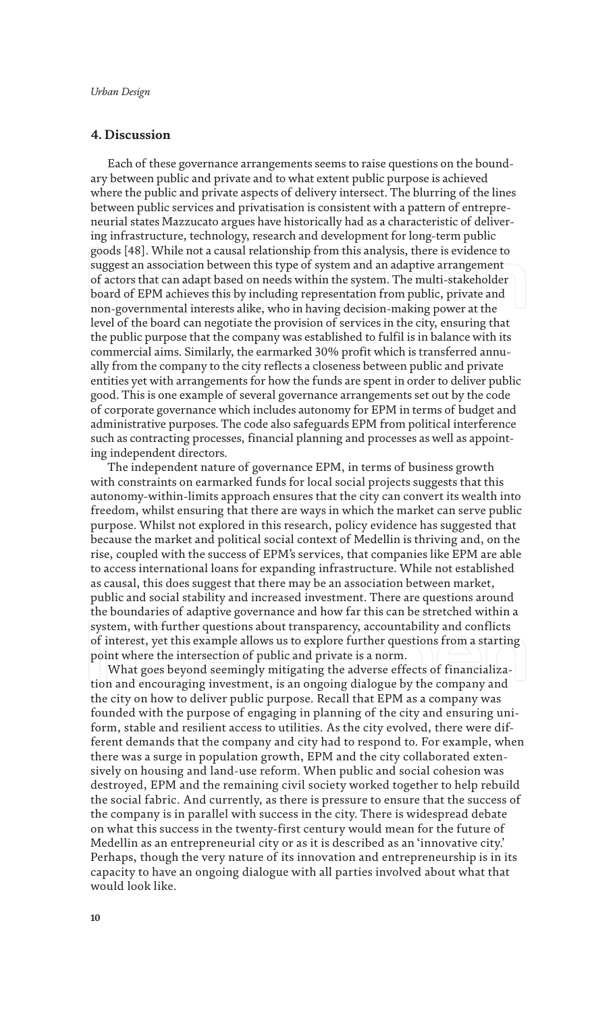# **4. Discussion**

Each of these governance arrangements seems to raise questions on the boundary between public and private and to what extent public purpose is achieved where the public and private aspects of delivery intersect. The blurring of the lines between public services and privatisation is consistent with a pattern of entrepreneurial states Mazzucato argues have historically had as a characteristic of delivering infrastructure, technology, research and development for long-term public goods [48]. While not a causal relationship from this analysis, there is evidence to suggest an association between this type of system and an adaptive arrangement of actors that can adapt based on needs within the system. The multi-stakeholder board of EPM achieves this by including representation from public, private and non-governmental interests alike, who in having decision-making power at the level of the board can negotiate the provision of services in the city, ensuring that the public purpose that the company was established to fulfil is in balance with its commercial aims. Similarly, the earmarked 30% profit which is transferred annually from the company to the city reflects a closeness between public and private entities yet with arrangements for how the funds are spent in order to deliver public good. This is one example of several governance arrangements set out by the code of corporate governance which includes autonomy for EPM in terms of budget and administrative purposes. The code also safeguards EPM from political interference such as contracting processes, financial planning and processes as well as appointing independent directors.

The independent nature of governance EPM, in terms of business growth with constraints on earmarked funds for local social projects suggests that this autonomy-within-limits approach ensures that the city can convert its wealth into freedom, whilst ensuring that there are ways in which the market can serve public purpose. Whilst not explored in this research, policy evidence has suggested that because the market and political social context of Medellin is thriving and, on the rise, coupled with the success of EPM's services, that companies like EPM are able to access international loans for expanding infrastructure. While not established as causal, this does suggest that there may be an association between market, public and social stability and increased investment. There are questions around the boundaries of adaptive governance and how far this can be stretched within a system, with further questions about transparency, accountability and conflicts of interest, yet this example allows us to explore further questions from a starting point where the intersection of public and private is a norm.

What goes beyond seemingly mitigating the adverse effects of financialization and encouraging investment, is an ongoing dialogue by the company and the city on how to deliver public purpose. Recall that EPM as a company was founded with the purpose of engaging in planning of the city and ensuring uniform, stable and resilient access to utilities. As the city evolved, there were different demands that the company and city had to respond to. For example, when there was a surge in population growth, EPM and the city collaborated extensively on housing and land-use reform. When public and social cohesion was destroyed, EPM and the remaining civil society worked together to help rebuild the social fabric. And currently, as there is pressure to ensure that the success of the company is in parallel with success in the city. There is widespread debate on what this success in the twenty-first century would mean for the future of Medellin as an entrepreneurial city or as it is described as an 'innovative city.' Perhaps, though the very nature of its innovation and entrepreneurship is in its capacity to have an ongoing dialogue with all parties involved about what that would look like.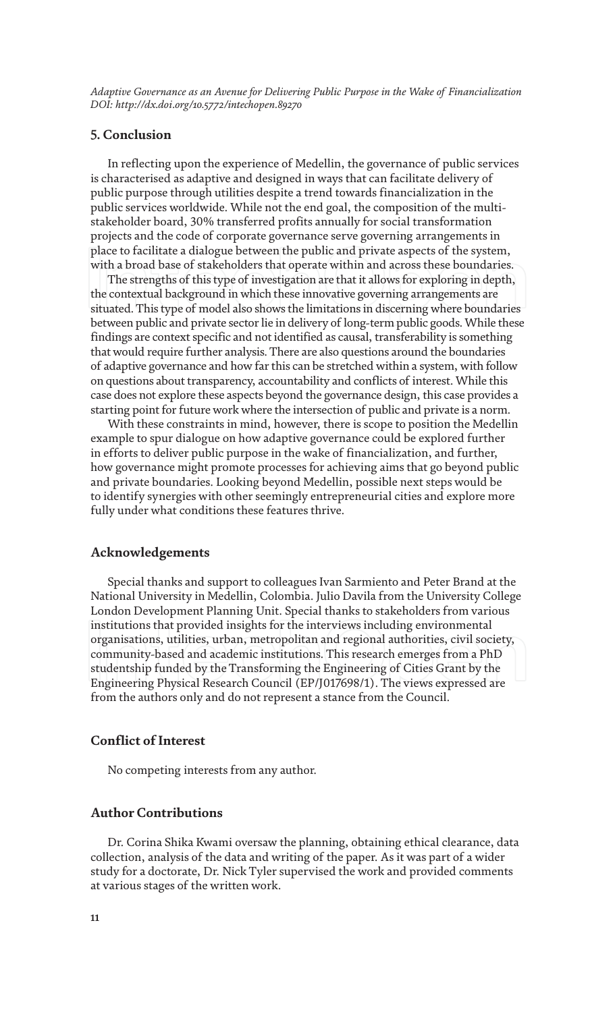# **5. Conclusion**

In reflecting upon the experience of Medellin, the governance of public services is characterised as adaptive and designed in ways that can facilitate delivery of public purpose through utilities despite a trend towards financialization in the public services worldwide. While not the end goal, the composition of the multistakeholder board, 30% transferred profits annually for social transformation projects and the code of corporate governance serve governing arrangements in place to facilitate a dialogue between the public and private aspects of the system, with a broad base of stakeholders that operate within and across these boundaries.

The strengths of this type of investigation are that it allows for exploring in depth, the contextual background in which these innovative governing arrangements are situated. This type of model also shows the limitations in discerning where boundaries between public and private sector lie in delivery of long-term public goods. While these findings are context specific and not identified as causal, transferability is something that would require further analysis. There are also questions around the boundaries of adaptive governance and how far this can be stretched within a system, with follow on questions about transparency, accountability and conflicts of interest. While this case does not explore these aspects beyond the governance design, this case provides a starting point for future work where the intersection of public and private is a norm.

With these constraints in mind, however, there is scope to position the Medellin example to spur dialogue on how adaptive governance could be explored further in efforts to deliver public purpose in the wake of financialization, and further, how governance might promote processes for achieving aims that go beyond public and private boundaries. Looking beyond Medellin, possible next steps would be to identify synergies with other seemingly entrepreneurial cities and explore more fully under what conditions these features thrive.

# **Acknowledgements**

Special thanks and support to colleagues Ivan Sarmiento and Peter Brand at the National University in Medellin, Colombia. Julio Davila from the University College London Development Planning Unit. Special thanks to stakeholders from various institutions that provided insights for the interviews including environmental organisations, utilities, urban, metropolitan and regional authorities, civil society, community-based and academic institutions. This research emerges from a PhD studentship funded by the Transforming the Engineering of Cities Grant by the Engineering Physical Research Council (EP/J017698/1). The views expressed are from the authors only and do not represent a stance from the Council.

# **Conflict of Interest**

No competing interests from any author.

# **Author Contributions**

Dr. Corina Shika Kwami oversaw the planning, obtaining ethical clearance, data collection, analysis of the data and writing of the paper. As it was part of a wider study for a doctorate, Dr. Nick Tyler supervised the work and provided comments at various stages of the written work.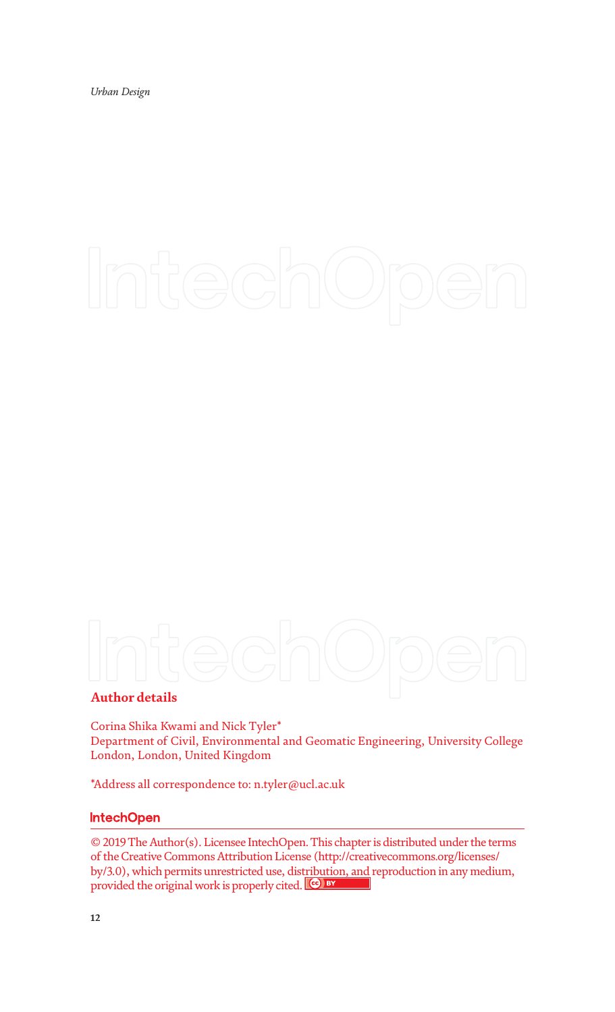# **Author details**

Corina Shika Kwami and Nick Tyler\* Department of Civil, Environmental and Geomatic Engineering, University College London, London, United Kingdom

\*Address all correspondence to: n.tyler@ucl.ac.uk

# **IntechOpen**

© 2019 The Author(s). Licensee IntechOpen. This chapter is distributed under the terms of the Creative Commons Attribution License (http://creativecommons.org/licenses/ by/3.0), which permits unrestricted use, distribution, and reproduction in any medium, provided the original work is properly cited.  $\boxed{\text{ce}}$  BY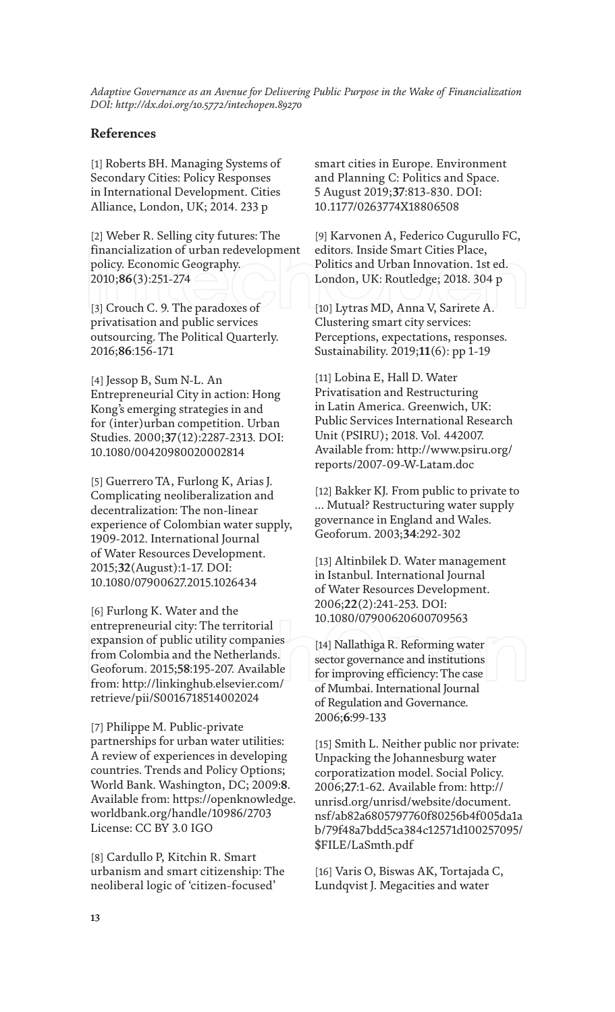# **References**

[1] Roberts BH. Managing Systems of Secondary Cities: Policy Responses in International Development. Cities Alliance, London, UK; 2014. 233 p

[2] Weber R. Selling city futures: The financialization of urban redevelopment policy. Economic Geography. 2010;**86**(3):251-274

[3] Crouch C. 9. The paradoxes of privatisation and public services outsourcing. The Political Quarterly. 2016;**86**:156-171

[4] Jessop B, Sum N-L. An Entrepreneurial City in action: Hong Kong's emerging strategies in and for (inter)urban competition. Urban Studies. 2000;**37**(12):2287-2313. DOI: 10.1080/00420980020002814

[5] Guerrero TA, Furlong K, Arias J. Complicating neoliberalization and decentralization: The non-linear experience of Colombian water supply, 1909-2012. International Journal of Water Resources Development. 2015;**32**(August):1-17. DOI: 10.1080/07900627.2015.1026434

[6] Furlong K. Water and the entrepreneurial city: The territorial expansion of public utility companies from Colombia and the Netherlands. Geoforum. 2015;**58**:195-207. Available from: http://linkinghub.elsevier.com/ retrieve/pii/S0016718514002024

[7] Philippe M. Public-private partnerships for urban water utilities: A review of experiences in developing countries. Trends and Policy Options; World Bank. Washington, DC; 2009:**8**. Available from: https://openknowledge. worldbank.org/handle/10986/2703 License: CC BY 3.0 IGO

[8] Cardullo P, Kitchin R. Smart urbanism and smart citizenship: The neoliberal logic of 'citizen-focused'

smart cities in Europe. Environment and Planning C: Politics and Space. 5 August 2019;**37**:813-830. DOI: 10.1177/0263774X18806508

[9] Karvonen A, Federico Cugurullo FC, editors. Inside Smart Cities Place, Politics and Urban Innovation. 1st ed. London, UK: Routledge; 2018. 304 p

[10] Lytras MD, Anna V, Sarirete A. Clustering smart city services: Perceptions, expectations, responses. Sustainability. 2019;**11**(6): pp 1-19

[11] Lobina E, Hall D. Water Privatisation and Restructuring in Latin America. Greenwich, UK: Public Services International Research Unit (PSIRU); 2018. Vol. 442007. Available from: http://www.psiru.org/ reports/2007-09-W-Latam.doc

[12] Bakker KJ. From public to private to ... Mutual? Restructuring water supply governance in England and Wales. Geoforum. 2003;**34**:292-302

[13] Altinbilek D. Water management in Istanbul. International Journal of Water Resources Development. 2006;**22**(2):241-253. DOI: 10.1080/07900620600709563

[14] Nallathiga R. Reforming water sector governance and institutions for improving efficiency: The case of Mumbai. International Journal of Regulation and Governance. 2006;**6**:99-133

[15] Smith L. Neither public nor private: Unpacking the Johannesburg water corporatization model. Social Policy. 2006;**27**:1-62. Available from: http:// unrisd.org/unrisd/website/document. nsf/ab82a6805797760f80256b4f005da1a b/79f48a7bdd5ca384c12571d100257095/ \$FILE/LaSmth.pdf

[16] Varis O, Biswas AK, Tortajada C, Lundqvist J. Megacities and water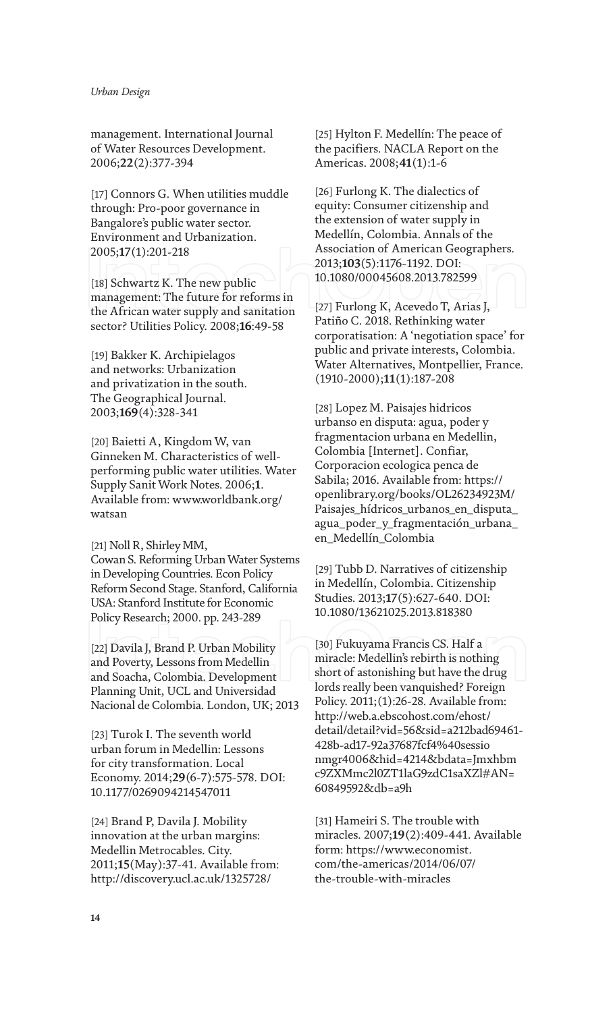management. International Journal of Water Resources Development. 2006;**22**(2):377-394

[17] Connors G. When utilities muddle through: Pro-poor governance in Bangalore's public water sector. Environment and Urbanization. 2005;**17**(1):201-218

[18] Schwartz K. The new public management: The future for reforms in the African water supply and sanitation sector? Utilities Policy. 2008;**16**:49-58

[19] Bakker K. Archipielagos and networks: Urbanization and privatization in the south. The Geographical Journal. 2003;**169**(4):328-341

[20] Baietti A, Kingdom W, van Ginneken M. Characteristics of wellperforming public water utilities. Water Supply Sanit Work Notes. 2006;**1**. Available from: www.worldbank.org/ watsan

[21] Noll R, Shirley MM, Cowan S. Reforming Urban Water Systems in Developing Countries. Econ Policy Reform Second Stage. Stanford, California USA: Stanford Institute for Economic Policy Research; 2000. pp. 243-289

[22] Davila J, Brand P. Urban Mobility and Poverty, Lessons from Medellin and Soacha, Colombia. Development Planning Unit, UCL and Universidad Nacional de Colombia. London, UK; 2013

[23] Turok I. The seventh world urban forum in Medellin: Lessons for city transformation. Local Economy. 2014;**29**(6-7):575-578. DOI: 10.1177/0269094214547011

[24] Brand P, Davila J. Mobility innovation at the urban margins: Medellin Metrocables. City. 2011;**15**(May):37-41. Available from: http://discovery.ucl.ac.uk/1325728/

[25] Hylton F. Medellín: The peace of the pacifiers. NACLA Report on the Americas. 2008;**41**(1):1-6

[26] Furlong K. The dialectics of equity: Consumer citizenship and the extension of water supply in Medellín, Colombia. Annals of the Association of American Geographers. 2013;**103**(5):1176-1192. DOI: 10.1080/00045608.2013.782599

[27] Furlong K, Acevedo T, Arias J, Patiño C. 2018. Rethinking water corporatisation: A 'negotiation space' for public and private interests, Colombia. Water Alternatives, Montpellier, France. (1910-2000);**11**(1):187-208

[28] Lopez M. Paisajes hidricos urbanso en disputa: agua, poder y fragmentacion urbana en Medellin, Colombia [Internet]. Confiar, Corporacion ecologica penca de Sabila; 2016. Available from: https:// openlibrary.org/books/OL26234923M/ Paisajes\_hídricos\_urbanos\_en\_disputa\_ agua\_poder\_y\_fragmentación\_urbana\_ en\_Medellín\_Colombia

[29] Tubb D. Narratives of citizenship in Medellín, Colombia. Citizenship Studies. 2013;**17**(5):627-640. DOI: 10.1080/13621025.2013.818380

[30] Fukuyama Francis CS. Half a miracle: Medellin's rebirth is nothing short of astonishing but have the drug lords really been vanquished? Foreign Policy. 2011;(1):26-28. Available from: http://web.a.ebscohost.com/ehost/ detail/detail?vid=56&sid=a212bad69461- 428b-ad17-92a37687fcf4%40sessio nmgr4006&hid=4214&bdata=Jmxhbm c9ZXMmc2l0ZT1laG9zdC1saXZl#AN= 60849592&db=a9h

[31] Hameiri S. The trouble with miracles. 2007;**19**(2):409-441. Available form: https://www.economist. com/the-americas/2014/06/07/ the-trouble-with-miracles